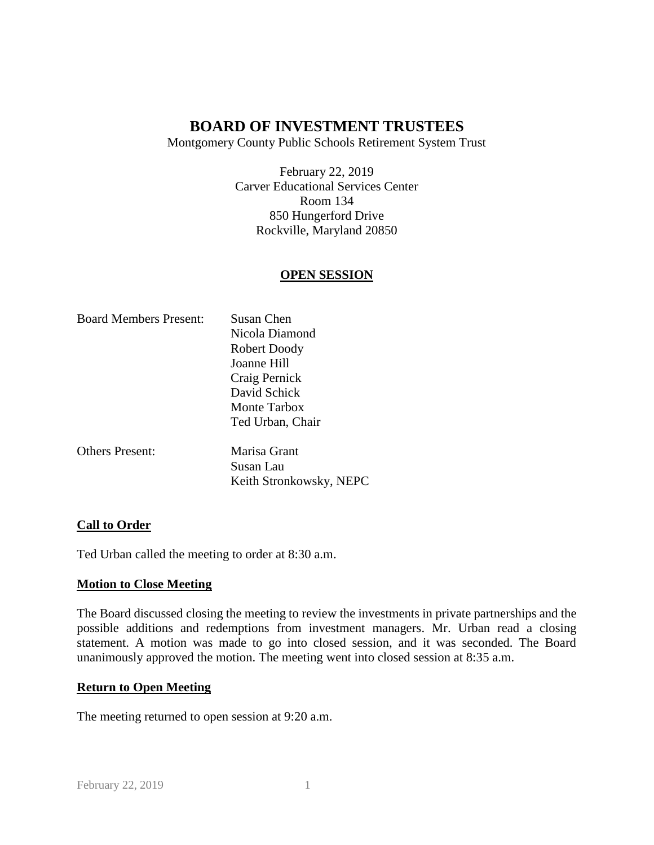Montgomery County Public Schools Retirement System Trust

February 22, 2019 Carver Educational Services Center Room 134 850 Hungerford Drive Rockville, Maryland 20850

## **OPEN SESSION**

| <b>Board Members Present:</b> | Susan Chen              |
|-------------------------------|-------------------------|
|                               | Nicola Diamond          |
|                               | Robert Doody            |
|                               | Joanne Hill             |
|                               | Craig Pernick           |
|                               | David Schick            |
|                               | Monte Tarbox            |
|                               | Ted Urban, Chair        |
| <b>Others Present:</b>        | Marisa Grant            |
|                               | Susan Lau               |
|                               | Keith Stronkowsky, NEPC |

### **Call to Order**

Ted Urban called the meeting to order at 8:30 a.m.

### **Motion to Close Meeting**

The Board discussed closing the meeting to review the investments in private partnerships and the possible additions and redemptions from investment managers. Mr. Urban read a closing statement. A motion was made to go into closed session, and it was seconded. The Board unanimously approved the motion. The meeting went into closed session at 8:35 a.m.

### **Return to Open Meeting**

The meeting returned to open session at 9:20 a.m.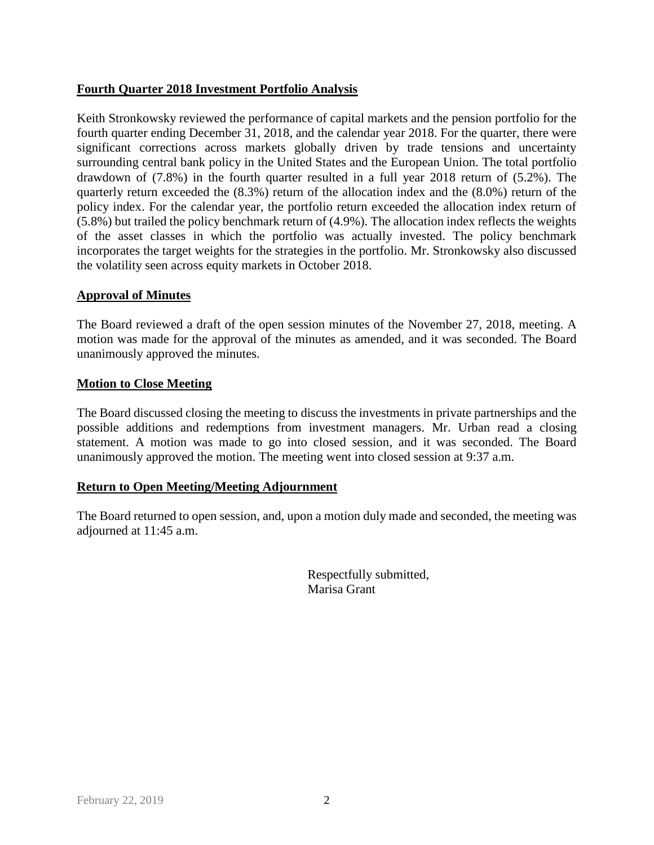## **Fourth Quarter 2018 Investment Portfolio Analysis**

Keith Stronkowsky reviewed the performance of capital markets and the pension portfolio for the fourth quarter ending December 31, 2018, and the calendar year 2018. For the quarter, there were significant corrections across markets globally driven by trade tensions and uncertainty surrounding central bank policy in the United States and the European Union. The total portfolio drawdown of (7.8%) in the fourth quarter resulted in a full year 2018 return of (5.2%). The quarterly return exceeded the (8.3%) return of the allocation index and the (8.0%) return of the policy index. For the calendar year, the portfolio return exceeded the allocation index return of (5.8%) but trailed the policy benchmark return of (4.9%). The allocation index reflects the weights of the asset classes in which the portfolio was actually invested. The policy benchmark incorporates the target weights for the strategies in the portfolio. Mr. Stronkowsky also discussed the volatility seen across equity markets in October 2018.

### **Approval of Minutes**

The Board reviewed a draft of the open session minutes of the November 27, 2018, meeting. A motion was made for the approval of the minutes as amended, and it was seconded. The Board unanimously approved the minutes.

#### **Motion to Close Meeting**

The Board discussed closing the meeting to discuss the investments in private partnerships and the possible additions and redemptions from investment managers. Mr. Urban read a closing statement. A motion was made to go into closed session, and it was seconded. The Board unanimously approved the motion. The meeting went into closed session at 9:37 a.m.

### **Return to Open Meeting/Meeting Adjournment**

The Board returned to open session, and, upon a motion duly made and seconded, the meeting was adjourned at 11:45 a.m.

> Respectfully submitted, Marisa Grant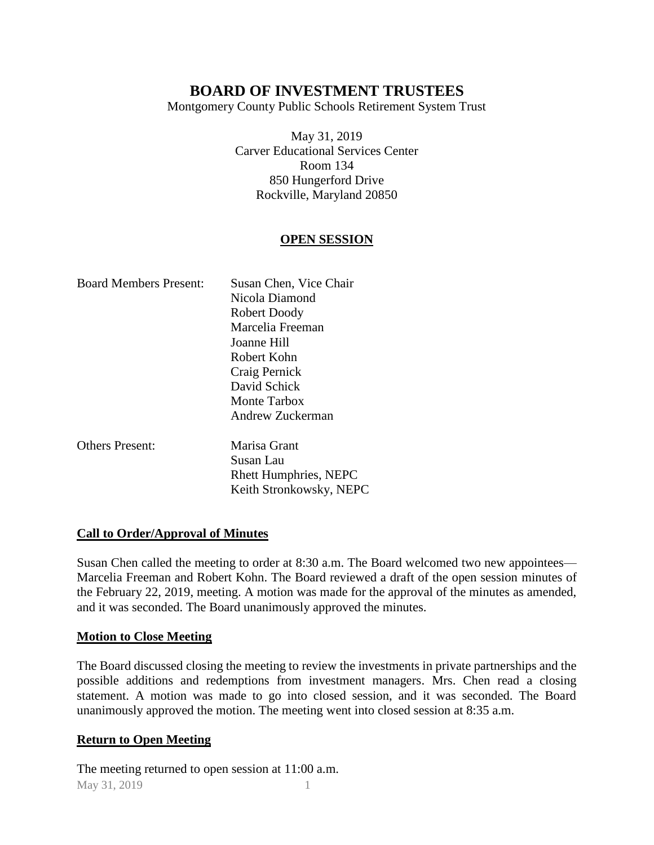Montgomery County Public Schools Retirement System Trust

May 31, 2019 Carver Educational Services Center Room 134 850 Hungerford Drive Rockville, Maryland 20850

## **OPEN SESSION**

| <b>Board Members Present:</b> | Susan Chen, Vice Chair<br>Nicola Diamond<br>Robert Doody<br>Marcelia Freeman<br>Joanne Hill<br>Robert Kohn<br>Craig Pernick<br>David Schick |
|-------------------------------|---------------------------------------------------------------------------------------------------------------------------------------------|
|                               | Monte Tarbox<br>Andrew Zuckerman                                                                                                            |
| <b>Others Present:</b>        | Marisa Grant<br>Susan Lau<br><b>Rhett Humphries, NEPC</b>                                                                                   |

### **Call to Order/Approval of Minutes**

Susan Chen called the meeting to order at 8:30 a.m. The Board welcomed two new appointees— Marcelia Freeman and Robert Kohn. The Board reviewed a draft of the open session minutes of the February 22, 2019, meeting. A motion was made for the approval of the minutes as amended, and it was seconded. The Board unanimously approved the minutes.

Keith Stronkowsky, NEPC

### **Motion to Close Meeting**

The Board discussed closing the meeting to review the investments in private partnerships and the possible additions and redemptions from investment managers. Mrs. Chen read a closing statement. A motion was made to go into closed session, and it was seconded. The Board unanimously approved the motion. The meeting went into closed session at 8:35 a.m.

### **Return to Open Meeting**

May 31, 2019 1 The meeting returned to open session at 11:00 a.m.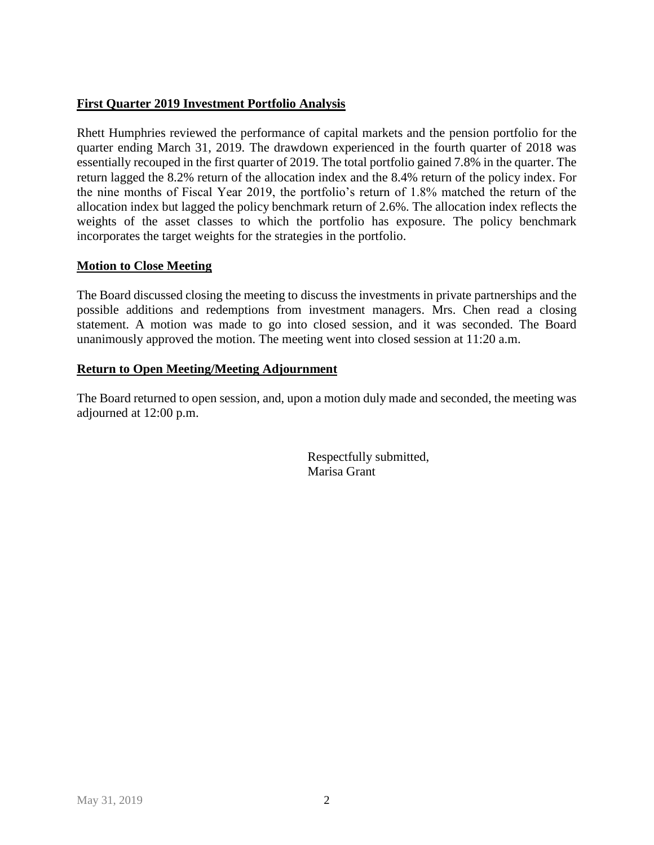## **First Quarter 2019 Investment Portfolio Analysis**

Rhett Humphries reviewed the performance of capital markets and the pension portfolio for the quarter ending March 31, 2019. The drawdown experienced in the fourth quarter of 2018 was essentially recouped in the first quarter of 2019. The total portfolio gained 7.8% in the quarter. The return lagged the 8.2% return of the allocation index and the 8.4% return of the policy index. For the nine months of Fiscal Year 2019, the portfolio's return of 1.8% matched the return of the allocation index but lagged the policy benchmark return of 2.6%. The allocation index reflects the weights of the asset classes to which the portfolio has exposure. The policy benchmark incorporates the target weights for the strategies in the portfolio.

## **Motion to Close Meeting**

The Board discussed closing the meeting to discuss the investments in private partnerships and the possible additions and redemptions from investment managers. Mrs. Chen read a closing statement. A motion was made to go into closed session, and it was seconded. The Board unanimously approved the motion. The meeting went into closed session at 11:20 a.m.

## **Return to Open Meeting/Meeting Adjournment**

The Board returned to open session, and, upon a motion duly made and seconded, the meeting was adjourned at 12:00 p.m.

> Respectfully submitted, Marisa Grant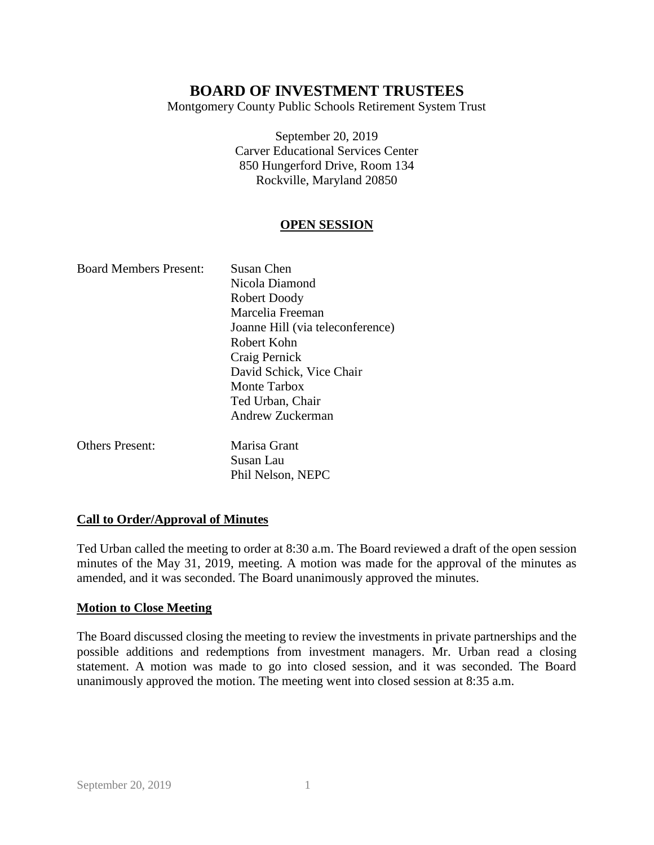Montgomery County Public Schools Retirement System Trust

September 20, 2019 Carver Educational Services Center 850 Hungerford Drive, Room 134 Rockville, Maryland 20850

## **OPEN SESSION**

| <b>Board Members Present:</b> | Susan Chen                       |
|-------------------------------|----------------------------------|
|                               | Nicola Diamond                   |
|                               | Robert Doody                     |
|                               | Marcelia Freeman                 |
|                               | Joanne Hill (via teleconference) |
|                               | Robert Kohn                      |
|                               | Craig Pernick                    |
|                               | David Schick, Vice Chair         |
|                               | Monte Tarbox                     |
|                               | Ted Urban, Chair                 |
|                               | Andrew Zuckerman                 |
| <b>Others Present:</b>        | Marisa Grant                     |
|                               | Susan Lau                        |
|                               | Phil Nelson, NEPC                |

### **Call to Order/Approval of Minutes**

Ted Urban called the meeting to order at 8:30 a.m. The Board reviewed a draft of the open session minutes of the May 31, 2019, meeting. A motion was made for the approval of the minutes as amended, and it was seconded. The Board unanimously approved the minutes.

### **Motion to Close Meeting**

The Board discussed closing the meeting to review the investments in private partnerships and the possible additions and redemptions from investment managers. Mr. Urban read a closing statement. A motion was made to go into closed session, and it was seconded. The Board unanimously approved the motion. The meeting went into closed session at 8:35 a.m.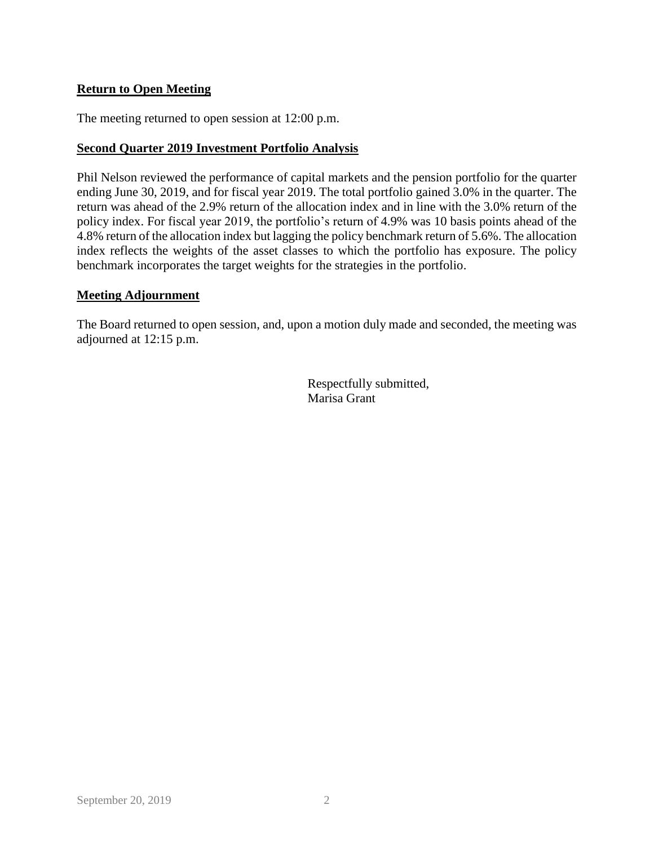## **Return to Open Meeting**

The meeting returned to open session at 12:00 p.m.

#### **Second Quarter 2019 Investment Portfolio Analysis**

Phil Nelson reviewed the performance of capital markets and the pension portfolio for the quarter ending June 30, 2019, and for fiscal year 2019. The total portfolio gained 3.0% in the quarter. The return was ahead of the 2.9% return of the allocation index and in line with the 3.0% return of the policy index. For fiscal year 2019, the portfolio's return of 4.9% was 10 basis points ahead of the 4.8% return of the allocation index but lagging the policy benchmark return of 5.6%. The allocation index reflects the weights of the asset classes to which the portfolio has exposure. The policy benchmark incorporates the target weights for the strategies in the portfolio.

#### **Meeting Adjournment**

The Board returned to open session, and, upon a motion duly made and seconded, the meeting was adjourned at 12:15 p.m.

> Respectfully submitted, Marisa Grant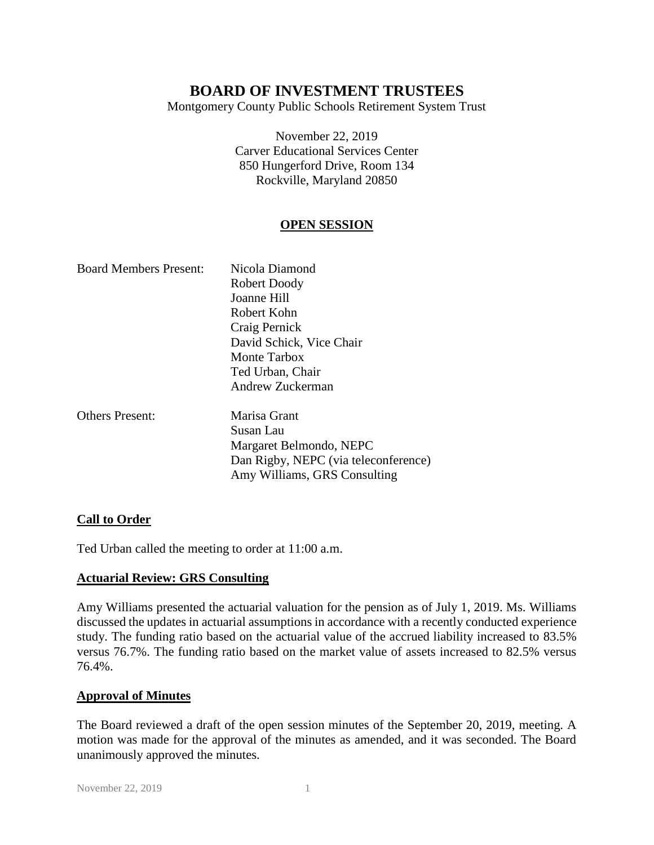Montgomery County Public Schools Retirement System Trust

November 22, 2019 Carver Educational Services Center 850 Hungerford Drive, Room 134 Rockville, Maryland 20850

## **OPEN SESSION**

| <b>Board Members Present:</b> | Nicola Diamond                       |
|-------------------------------|--------------------------------------|
|                               | Robert Doody                         |
|                               | Joanne Hill                          |
|                               | Robert Kohn                          |
|                               | Craig Pernick                        |
|                               | David Schick, Vice Chair             |
|                               | <b>Monte Tarbox</b>                  |
|                               | Ted Urban, Chair                     |
|                               | Andrew Zuckerman                     |
| <b>Others Present:</b>        | Marisa Grant                         |
|                               | Susan Lau                            |
|                               | Margaret Belmondo, NEPC              |
|                               | Dan Rigby, NEPC (via teleconference) |
|                               | Amy Williams, GRS Consulting         |

### **Call to Order**

Ted Urban called the meeting to order at 11:00 a.m.

### **Actuarial Review: GRS Consulting**

Amy Williams presented the actuarial valuation for the pension as of July 1, 2019. Ms. Williams discussed the updates in actuarial assumptions in accordance with a recently conducted experience study. The funding ratio based on the actuarial value of the accrued liability increased to 83.5% versus 76.7%. The funding ratio based on the market value of assets increased to 82.5% versus 76.4%.

### **Approval of Minutes**

The Board reviewed a draft of the open session minutes of the September 20, 2019, meeting. A motion was made for the approval of the minutes as amended, and it was seconded. The Board unanimously approved the minutes.